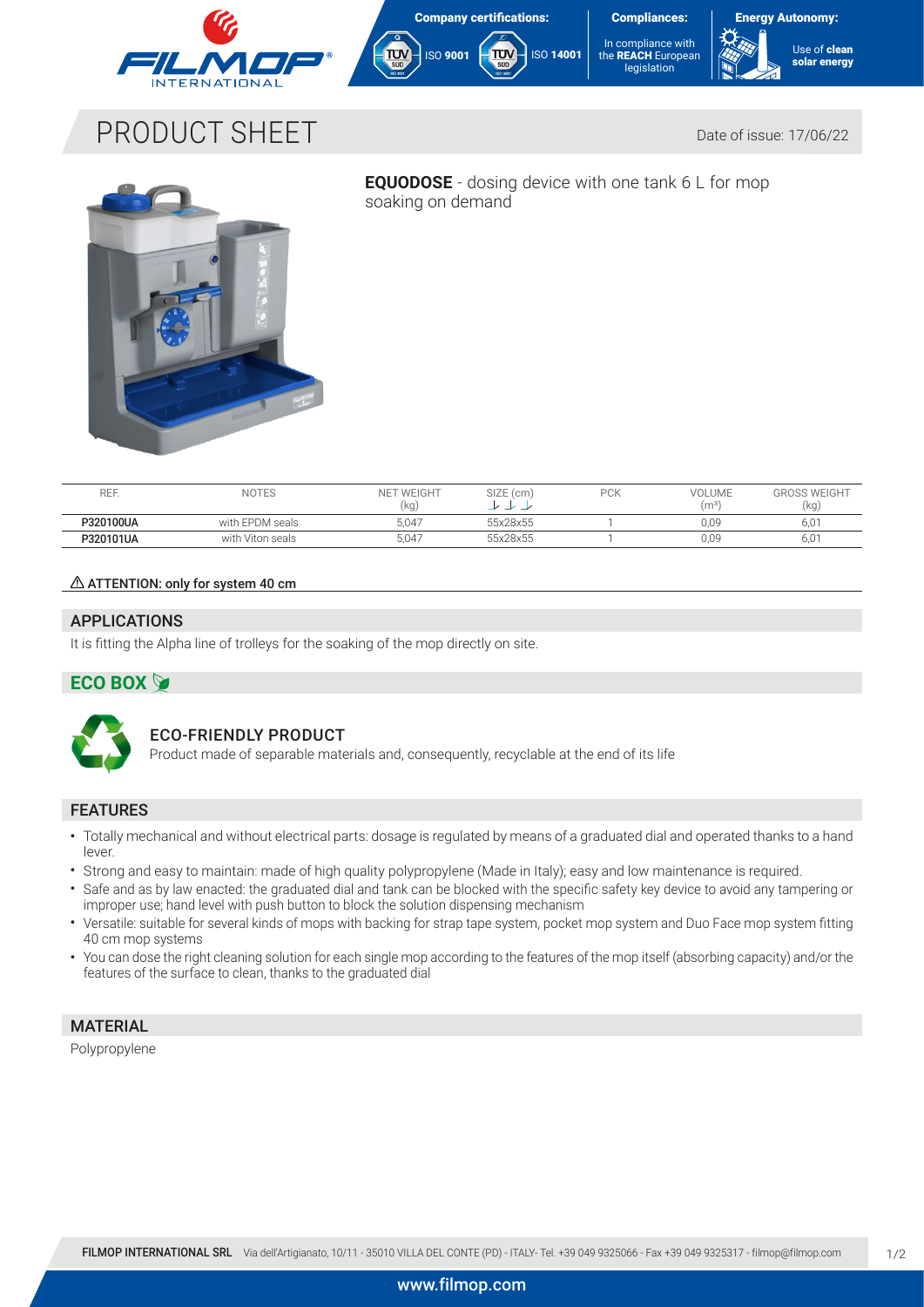







# PRODUCT SHEET DATE: Date of issue: 17/06/22



**EQUODOSE** - dosing device with one tank 6 L for mop soaking on demand

| REF.      | <b>NOTES</b>     | I WEIGHT<br><b>NET</b><br>(kg | SIZE (cm)<br>- | <b>DCK</b><br>″∪N | <b>VOLUME</b><br>(m <sup>3</sup> ) | <b>GROSS WEIGHT</b><br>(kg |
|-----------|------------------|-------------------------------|----------------|-------------------|------------------------------------|----------------------------|
| P320100UA | with EPDM seals  | 5.047                         | 55x28x55       |                   | 0.09                               | 6,01                       |
| P320101UA | with Viton seals | 5.047                         | 55x28x55       |                   | 0.09                               | 6,01                       |

### $\triangle$  ATTENTION: only for system 40 cm

# APPLICATIONS

It is fitting the Alpha line of trolleys for the soaking of the mop directly on site.

# **ECO BOX**



# ECO-FRIENDLY PRODUCT

Product made of separable materials and, consequently, recyclable at the end of its life

### FEATURES

- Totally mechanical and without electrical parts: dosage is regulated by means of a graduated dial and operated thanks to a hand lever.
- Strong and easy to maintain: made of high quality polypropylene (Made in Italy); easy and low maintenance is required.
- Safe and as by law enacted: the graduated dial and tank can be blocked with the specific safety key device to avoid any tampering or improper use; hand level with push button to block the solution dispensing mechanism
- Versatile: suitable for several kinds of mops with backing for strap tape system, pocket mop system and Duo Face mop system fitting 40 cm mop systems
- You can dose the right cleaning solution for each single mop according to the features of the mop itself (absorbing capacity) and/or the features of the surface to clean, thanks to the graduated dial

# **MATERIAL**

Polypropylene